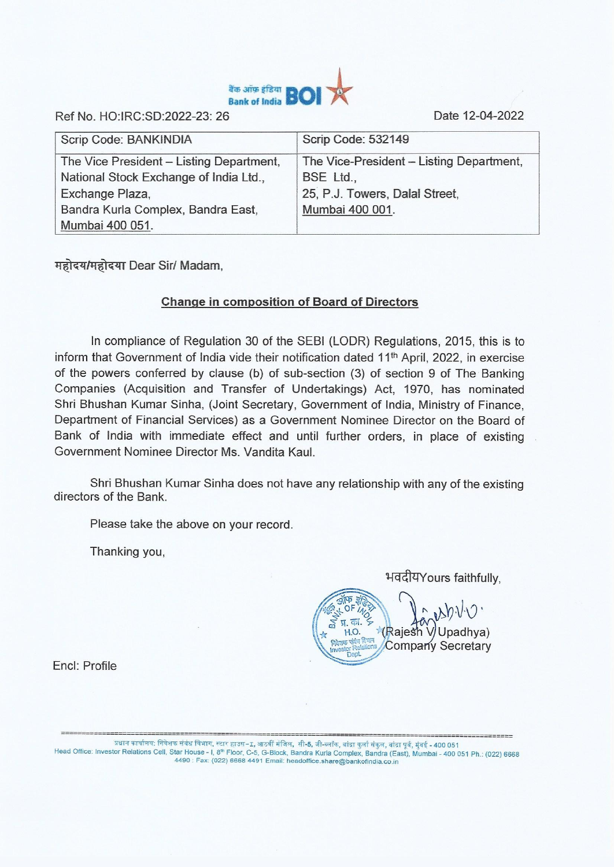

**Ref No. HO:IRC:SD:2022-23: 26 Date 12-04-2022** 

| Scrip Code: BANKINDIA                    | <b>Scrip Code: 532149</b>                |
|------------------------------------------|------------------------------------------|
| The Vice President - Listing Department, | The Vice-President - Listing Department, |
| National Stock Exchange of India Ltd.,   | BSE Ltd.,                                |
| Exchange Plaza,                          | 25, P.J. Towers, Dalal Street,           |
| Bandra Kurla Complex, Bandra East,       | Mumbai 400 001.                          |
| Mumbai 400 051.                          |                                          |

*<u>महोदय/महोदया</u>* **Dear Sir/ Madam,** 

## **Change in composition of Board of Directors**

In compliance of **Regulation** 30 of the SEBI (LODR) Regulations, 2015, this is to inform that Government of India vide their notification dated 11th **April,** 2022, in exercise of the powers conferred by clause (b) of sub-section (3) of section 9 of The Banking Companies (Acquisition and Transfer of Undertakings) Act, 1970, has nominated Shri Bhushan Kumar Sinha, (Joint Secretary, Government of India, Ministry of Finance, Department of Financial Services) as a Government Nominee Director on the Board of Bank of India with immediate effect and until further orders, in place of existing Government Nominee Director Ms. Vandita Kaul.

Shri Bhushan Kumar Sinha does not have any relationship with any of the existing directors of the Bank.

Please take the above on your record.

Thanking you,

भवदीयYours faithfully,

 $F W^{\otimes N}$ Rajesh **Register Relations / Company Secretary** V/Upadhya)

Encl: Profile

प्रधान कार्यालय: निवेशक संबंध विभाग, स्टार हाउस−⊥, आठवीं मंजिल, सी-5, जी-ब्लॉक, बांद्रा कुर्ला संकुल, बांद्रा पूर्व, मुंबई - 400 051 Head Office: Investor Relations Cell, Star House - I, 8<sup>th</sup> Floor, C-5, G-Block, Bandra Kurla Complex, Bandra (East), Mumbai - 400 051 Ph.: (022) 6668 4490: Fax: (022) 6668 4491 Email: headoffice.share@bankofindia.co.in